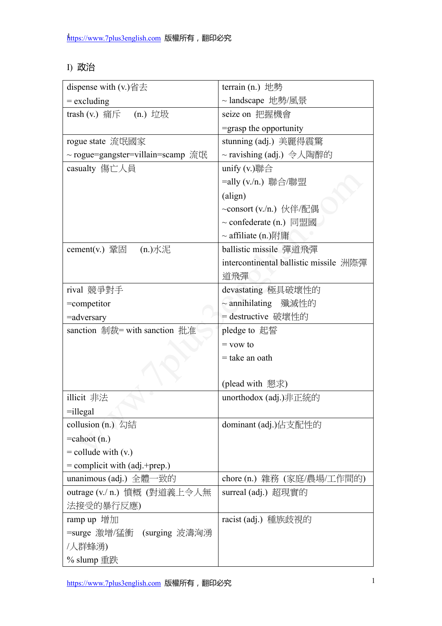## I) 政治

| dispense with $(v.)$ 省去              | terrain (n.) 地勢                        |
|--------------------------------------|----------------------------------------|
| $=$ excluding                        | ~ landscape 地勢/風景                      |
| trash (v.) 痛斥 (n.) 垃圾                | seize on 把握機會                          |
|                                      | =grasp the opportunity                 |
| rogue state 流氓國家                     | stunning (adj.) 美麗得震驚                  |
| ~ rogue=gangster=villain=scamp 流氓    | ~ ravishing (adj.) 令人陶醉的               |
| casualty 傷亡人員                        | unify $(v.)$ 聯合                        |
|                                      | =ally (v./n.) 聯合/聯盟                    |
|                                      | (align)                                |
|                                      | ~consort (v./n.) 伙伴/配偶                 |
|                                      | $\sim$ confederate (n.) 同盟國            |
|                                      | $\sim$ affiliate (n.)附庸                |
| cement(v.) 鞏固 $(n.)\times\mathbb{R}$ | ballistic missile 彈道飛彈                 |
|                                      | intercontinental ballistic missile 洲際彈 |
|                                      | 道飛彈                                    |
| rival 競爭對手                           | devastating 極具破壞性的                     |
| $=$ competitor                       | ~ annihilating 殲滅性的                    |
| $=$ adversary                        | = destructive 破壞性的                     |
| sanction 制裁= with sanction 批准        | pledge to 起誓                           |
|                                      | $=$ vow to                             |
|                                      | $=$ take an oath                       |
|                                      |                                        |
|                                      | (plead with 懇求)                        |
| illicit 非法                           | unorthodox (adj.)非正統的                  |
| $=$ illegal                          |                                        |
| collusion $(n.)$ 勾結                  | dominant (adj.)佔支配性的                   |
| $=$ cahoot $(n.)$                    |                                        |
| $=$ collude with $(v.)$              |                                        |
| $=$ complicit with (adj.+prep.)      |                                        |
| unanimous (adj.) 全體一致的               | chore (n.) 雜務 (家庭/農場/工作間的)             |
| outrage (v./ n.) 憤概 (對道義上令人無         | surreal (adj.) 超現實的                    |
| 法接受的暴行反應)                            |                                        |
| ramp up 增加                           | racist (adj.) 種族歧視的                    |
| =surge 激增/猛衝 (surging 波濤洶湧           |                                        |
| /人群蜂湧)                               |                                        |
| % slump 重跌                           |                                        |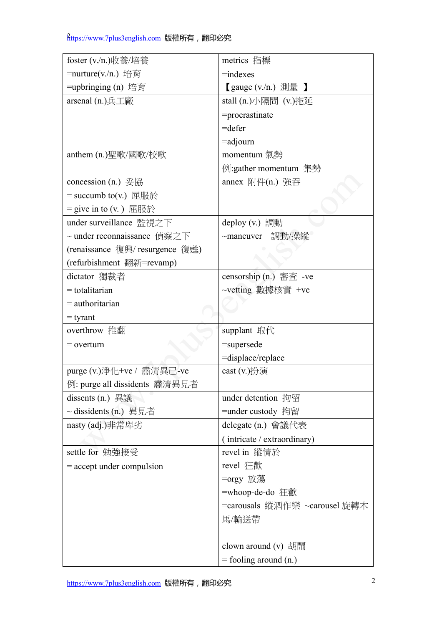| foster (v./n.)收養/培養             | metrics 指標                                         |
|---------------------------------|----------------------------------------------------|
| =nurture(v./n.) 培育              | $=$ indexes                                        |
| =upbringing (n) 培育              | $\left[ \right.$ gauge (v./n.) 測量 $\left. \right]$ |
| arsenal (n.)兵工廠                 | stall (n.)小隔間 (v.)拖延                               |
|                                 | =procrastinate                                     |
|                                 | $=$ defer                                          |
|                                 | $=$ adjourn                                        |
| anthem (n.)聖歌/國歌/校歌             | momentum 氣勢                                        |
|                                 | 例:gather momentum 集勢                               |
| concession (n.) 妥協              | annex 附件(n.) 強吞                                    |
| $=$ succumb to(v.) 屈服於          |                                                    |
| $=$ give in to (v.) 屈服於         |                                                    |
| under surveillance 監視之下         | deploy (v.) 調動                                     |
| ~ under reconnaissance 偵察之下     | ~maneuver 調動/操縱                                    |
| (renaissance 復興/ resurgence 復甦) |                                                    |
| (refurbishment 翻新=revamp)       |                                                    |
| dictator 獨裁者                    | censorship (n.) 審查 -ve                             |
| $=$ totalitarian                | ~vetting 數據核實 +ve                                  |
| $=$ authoritarian               |                                                    |
| $=$ tyrant                      |                                                    |
| overthrow 推翻                    | supplant 取代                                        |
| $=$ overturn                    | =supersede                                         |
|                                 | =displace/replace                                  |
| purge (v.)淨化+ve / 肅清異己-ve       | cast $(v.)$ 扮演                                     |
| 例: purge all dissidents 肅清異見者   |                                                    |
|                                 | under detention 拘留                                 |
| ~ dissidents (n.) 異見者           | =under custody 拘留                                  |
| nasty (adj.)非常卑劣                | delegate $(n.)$ 會議代表                               |
|                                 | (intricate / extraordinary)                        |
| settle for 勉強接受                 | revel in 縱情於                                       |
| $=$ accept under compulsion     | revel 狂歡                                           |
|                                 | =orgy 放蕩                                           |
|                                 | =whoop-de-do 狂歡                                    |
|                                 | =carousals 縱酒作樂 ~carousel 旋轉木                      |
|                                 | 馬/輸送帶                                              |
|                                 |                                                    |
|                                 | clown around $(v)$ 胡鬧                              |
|                                 | $=$ fooling around $(n.)$                          |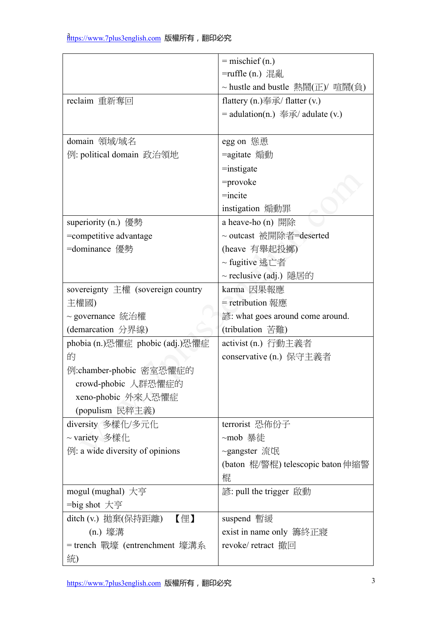|                                                         | $=$ mischief (n.)                  |
|---------------------------------------------------------|------------------------------------|
|                                                         | =ruffle (n.) 混亂                    |
|                                                         | ~ hustle and bustle 熱鬧(正)/ 喧鬧(負)   |
| reclaim 重新奪回                                            | flattery $(n.)$ 奉承/ flatter $(v.)$ |
|                                                         | $=$ adulation(n.) 奉承/ adulate (v.) |
|                                                         |                                    |
| domain 領域/域名                                            | egg on 慫恿                          |
| 例: political domain 政治領地                                | =agitate 煽動                        |
|                                                         | $=$ instigate                      |
|                                                         | $=$ provoke                        |
|                                                         | $=$ incite                         |
|                                                         | instigation 煽動罪                    |
| superiority (n.) 優勢                                     | a heave-ho $(n)$ 開除                |
| =competitive advantage                                  | ~ outcast 被開除者=deserted            |
| =dominance 優勢                                           | (heave 有舉起投擲)                      |
|                                                         | ~ fugitive 逃亡者                     |
|                                                         | ~ reclusive (adj.) 隱居的             |
| sovereignty 主權 (sovereign country                       | karma 因果報應                         |
| 主權國)                                                    | = retribution 報應                   |
| ~ governance 統治權                                        | 諺: what goes around come around.   |
| (demarcation 分界線)                                       | (tribulation 苦難)                   |
| phobia (n.)恐懼症 phobic (adj.)恐懼症                         | activist (n.) 行動主義者                |
| 的                                                       | conservative (n.) 保守主義者            |
| 例:chamber-phobic 密室恐懼症的                                 |                                    |
| crowd-phobic 人群恐懼症的                                     |                                    |
| xeno-phobic 外來人恐懼症                                      |                                    |
| (populism 民粹主義)                                         |                                    |
| diversity 多樣化/多元化                                       | terrorist 恐佈份子                     |
| ~ variety 多樣化                                           | ~mob 暴徒                            |
| $\left[\emptyset\right]$ : a wide diversity of opinions | ~gangster 流氓                       |
|                                                         | (baton 棍/警棍) telescopic baton 伸縮警  |
|                                                         | 棍                                  |
| mogul (mughal) 大亨                                       | 諺: pull the trigger 啟動             |
| =big shot 大亨                                            |                                    |
| ditch (v.) 拋棄(保持距離)<br>【俚】                              | suspend 暫緩                         |
| (n.) 壕溝                                                 | exist in name only 籌終正寢            |
| = trench 戰壕 (entrenchment 壕溝系                           | revoke/ retract 撤回                 |
| 統)                                                      |                                    |